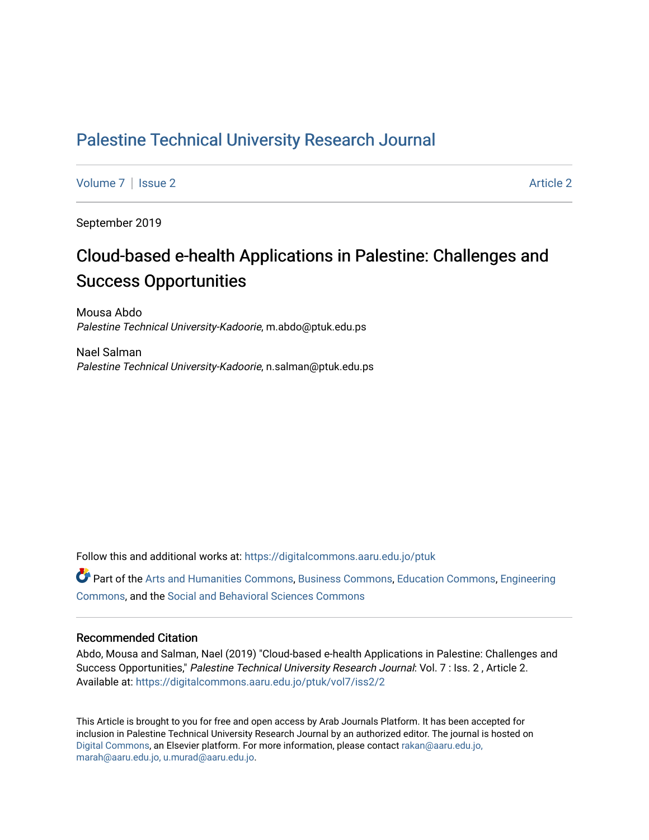## [Palestine Technical University Research Journal](https://digitalcommons.aaru.edu.jo/ptuk)

[Volume 7](https://digitalcommons.aaru.edu.jo/ptuk/vol7) | [Issue 2](https://digitalcommons.aaru.edu.jo/ptuk/vol7/iss2) Article 2

September 2019

# Cloud-based e-health Applications in Palestine: Challenges and Success Opportunities

Mousa Abdo Palestine Technical University-Kadoorie, m.abdo@ptuk.edu.ps

Nael Salman Palestine Technical University-Kadoorie, n.salman@ptuk.edu.ps

Follow this and additional works at: [https://digitalcommons.aaru.edu.jo/ptuk](https://digitalcommons.aaru.edu.jo/ptuk?utm_source=digitalcommons.aaru.edu.jo%2Fptuk%2Fvol7%2Fiss2%2F2&utm_medium=PDF&utm_campaign=PDFCoverPages) 

Part of the [Arts and Humanities Commons,](http://network.bepress.com/hgg/discipline/438?utm_source=digitalcommons.aaru.edu.jo%2Fptuk%2Fvol7%2Fiss2%2F2&utm_medium=PDF&utm_campaign=PDFCoverPages) [Business Commons](http://network.bepress.com/hgg/discipline/622?utm_source=digitalcommons.aaru.edu.jo%2Fptuk%2Fvol7%2Fiss2%2F2&utm_medium=PDF&utm_campaign=PDFCoverPages), [Education Commons,](http://network.bepress.com/hgg/discipline/784?utm_source=digitalcommons.aaru.edu.jo%2Fptuk%2Fvol7%2Fiss2%2F2&utm_medium=PDF&utm_campaign=PDFCoverPages) [Engineering](http://network.bepress.com/hgg/discipline/217?utm_source=digitalcommons.aaru.edu.jo%2Fptuk%2Fvol7%2Fiss2%2F2&utm_medium=PDF&utm_campaign=PDFCoverPages) [Commons](http://network.bepress.com/hgg/discipline/217?utm_source=digitalcommons.aaru.edu.jo%2Fptuk%2Fvol7%2Fiss2%2F2&utm_medium=PDF&utm_campaign=PDFCoverPages), and the [Social and Behavioral Sciences Commons](http://network.bepress.com/hgg/discipline/316?utm_source=digitalcommons.aaru.edu.jo%2Fptuk%2Fvol7%2Fiss2%2F2&utm_medium=PDF&utm_campaign=PDFCoverPages)

#### Recommended Citation

Abdo, Mousa and Salman, Nael (2019) "Cloud-based e-health Applications in Palestine: Challenges and Success Opportunities," Palestine Technical University Research Journal: Vol. 7 : Iss. 2, Article 2. Available at: [https://digitalcommons.aaru.edu.jo/ptuk/vol7/iss2/2](https://digitalcommons.aaru.edu.jo/ptuk/vol7/iss2/2?utm_source=digitalcommons.aaru.edu.jo%2Fptuk%2Fvol7%2Fiss2%2F2&utm_medium=PDF&utm_campaign=PDFCoverPages)

This Article is brought to you for free and open access by Arab Journals Platform. It has been accepted for inclusion in Palestine Technical University Research Journal by an authorized editor. The journal is hosted on [Digital Commons](https://www.elsevier.com/solutions/digital-commons), an Elsevier platform. For more information, please contact [rakan@aaru.edu.jo,](mailto:rakan@aaru.edu.jo,%20marah@aaru.edu.jo,%20u.murad@aaru.edu.jo)  [marah@aaru.edu.jo, u.murad@aaru.edu.jo.](mailto:rakan@aaru.edu.jo,%20marah@aaru.edu.jo,%20u.murad@aaru.edu.jo)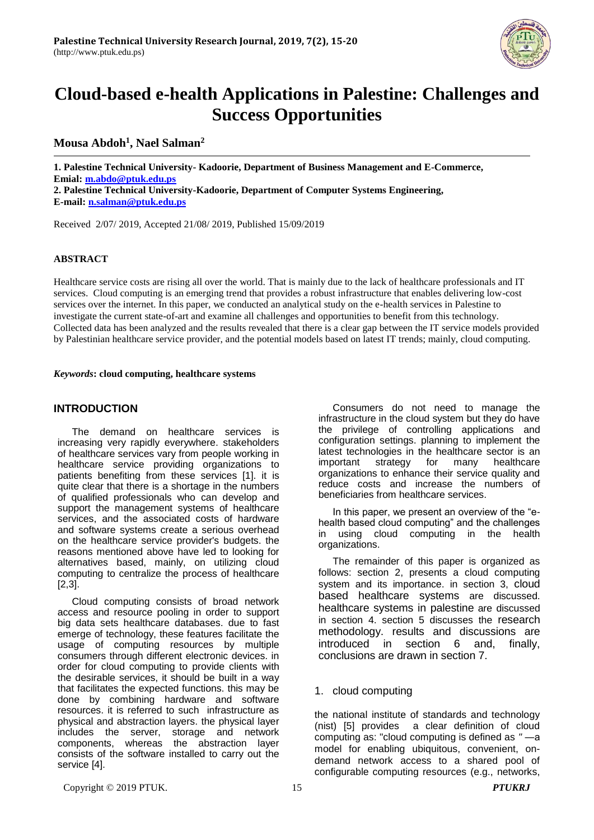

# **Cloud-based e-health Applications in Palestine: Challenges and Success Opportunities**

## **Mousa Abdoh<sup>1</sup> , Nael Salman<sup>2</sup>**

**1. Palestine Technical University- Kadoorie, Department of Business Management and E-Commerce, Emial: [m.abdo@ptuk.edu.ps](mailto:m.abdo@ptuk.edu.ps) 2. Palestine Technical University-Kadoorie, Department of Computer Systems Engineering, E-mail[: n.salman@ptuk.edu.ps](mailto:n.salman@ptuk.edu.ps)**

Received 2/07/ 2019, Accepted 21/08/ 2019, Published 15/09/2019

#### **ABSTRACT**

Healthcare service costs are rising all over the world. That is mainly due to the lack of healthcare professionals and IT services. Cloud computing is an emerging trend that provides a robust infrastructure that enables delivering low-cost services over the internet. In this paper, we conducted an analytical study on the e-health services in Palestine to investigate the current state-of-art and examine all challenges and opportunities to benefit from this technology. Collected data has been analyzed and the results revealed that there is a clear gap between the IT service models provided by Palestinian healthcare service provider, and the potential models based on latest IT trends; mainly, cloud computing.

#### *Keywords***: cloud computing, healthcare systems**

#### **INTRODUCTION**

The demand on healthcare services is increasing very rapidly everywhere. stakeholders of healthcare services vary from people working in healthcare service providing organizations to patients benefiting from these services [1]. it is quite clear that there is a shortage in the numbers of qualified professionals who can develop and support the management systems of healthcare services, and the associated costs of hardware and software systems create a serious overhead on the healthcare service provider's budgets. the reasons mentioned above have led to looking for alternatives based, mainly, on utilizing cloud computing to centralize the process of healthcare [2,3].

Cloud computing consists of broad network access and resource pooling in order to support big data sets healthcare databases. due to fast emerge of technology, these features facilitate the usage of computing resources by multiple consumers through different electronic devices. in order for cloud computing to provide clients with the desirable services, it should be built in a way that facilitates the expected functions. this may be done by combining hardware and software resources. it is referred to such infrastructure as physical and abstraction layers. the physical layer includes the server, storage and network components, whereas the abstraction layer consists of the software installed to carry out the service [4].

Consumers do not need to manage the infrastructure in the cloud system but they do have the privilege of controlling applications and configuration settings. planning to implement the latest technologies in the healthcare sector is an important strategy for many healthcare organizations to enhance their service quality and reduce costs and increase the numbers of beneficiaries from healthcare services.

In this paper, we present an overview of the "ehealth based cloud computing" and the challenges in using cloud computing in the health organizations.

The remainder of this paper is organized as follows: section 2, presents a cloud computing system and its importance. in section 3, cloud based healthcare systems are discussed. healthcare systems in palestine are discussed in section 4. section 5 discusses the research methodology. results and discussions are introduced in section 6 and, finally, conclusions are drawn in section 7.

#### 1. cloud computing

the national institute of standards and technology (nist) [5] provides a clear definition of cloud computing as: "cloud computing is defined as *"* ―a model for enabling ubiquitous, convenient, ondemand network access to a shared pool of configurable computing resources (e.g., networks,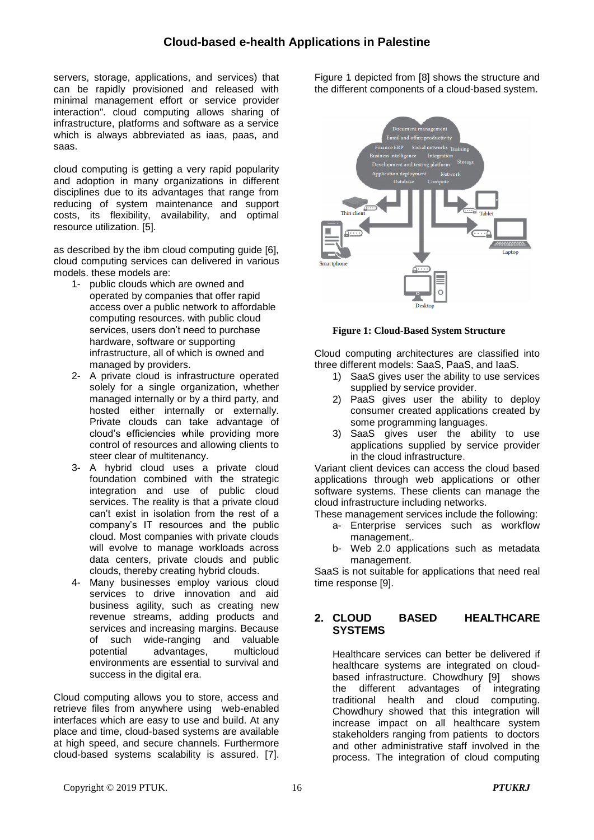servers, storage, applications, and services) that can be rapidly provisioned and released with minimal management effort or service provider interaction". cloud computing allows sharing of infrastructure, platforms and software as a service which is always abbreviated as iaas, paas, and saas.

cloud computing is getting a very rapid popularity and adoption in many organizations in different disciplines due to its advantages that range from reducing of system maintenance and support costs, its flexibility, availability, and optimal resource utilization. [5].

as described by the ibm cloud computing guide [6], cloud computing services can delivered in various models. these models are:

- 1- public clouds which are owned and operated by companies that offer rapid access over a public network to affordable computing resources. with public cloud services, users don't need to purchase hardware, software or supporting infrastructure, all of which is owned and managed by providers.
- 2- A private cloud is infrastructure operated solely for a single organization, whether managed internally or by a third party, and hosted either internally or externally. Private clouds can take advantage of cloud's efficiencies while providing more control of resources and allowing clients to steer clear of multitenancy.
- 3- A hybrid cloud uses a private cloud foundation combined with the strategic integration and use of public cloud services. The reality is that a private cloud can't exist in isolation from the rest of a company's IT resources and the public cloud. Most companies with private clouds will evolve to manage workloads across data centers, private clouds and public clouds, thereby creating hybrid clouds.
- 4- Many businesses employ various cloud services to drive innovation and aid business agility, such as creating new revenue streams, adding products and services and increasing margins. Because of such wide-ranging and valuable<br>potential advantages. multicloud potential advantages, environments are essential to survival and success in the digital era.

Cloud computing allows you to store, access and retrieve files from anywhere using web-enabled interfaces which are easy to use and build. At any place and time, cloud-based systems are available at high speed, and secure channels. Furthermore cloud-based systems scalability is assured. [7].

Figure 1 depicted from [8] shows the structure and the different components of a cloud-based system.



**Figure 1: Cloud-Based System Structure**

Cloud computing architectures are classified into three different models: SaaS, PaaS, and IaaS.

- 1) SaaS gives user the ability to use services supplied by service provider.
- 2) PaaS gives user the ability to deploy consumer created applications created by some programming languages.
- 3) SaaS gives user the ability to use applications supplied by service provider in the cloud infrastructure.

Variant client devices can access the cloud based applications through web applications or other software systems. These clients can manage the cloud infrastructure including networks.

These management services include the following:

- a- Enterprise services such as workflow management,.
- b- Web 2.0 applications such as metadata management.

SaaS is not suitable for applications that need real time response [9].

## **2. CLOUD BASED HEALTHCARE SYSTEMS**

Healthcare services can better be delivered if healthcare systems are integrated on cloudbased infrastructure. Chowdhury [9] shows the different advantages of integrating traditional health and cloud computing. Chowdhury showed that this integration will increase impact on all healthcare system stakeholders ranging from patients to doctors and other administrative staff involved in the process. The integration of cloud computing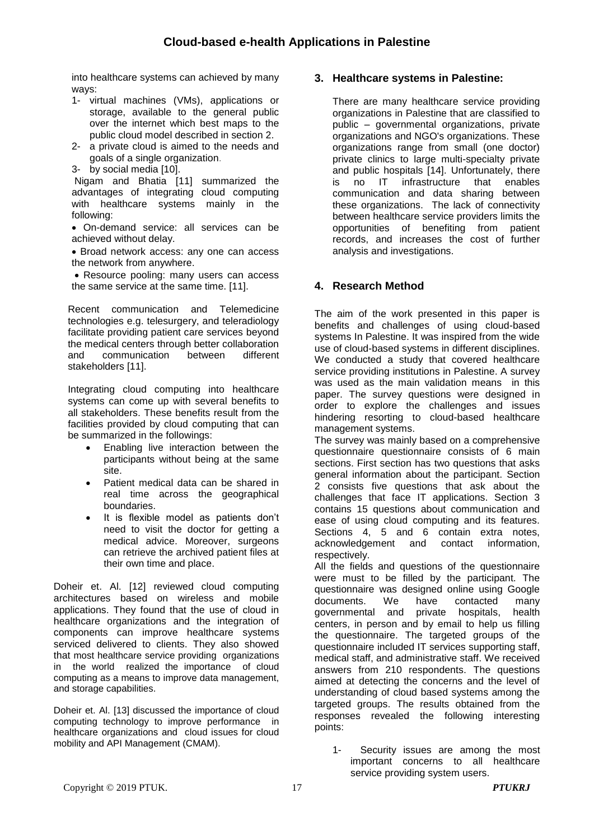into healthcare systems can achieved by many ways:

- 1- virtual machines [\(VMs\)](https://searchservervirtualization.techtarget.com/definition/virtual-machine), applications or storage, available to the general public over the internet which best maps to the public cloud model described in section 2.
- 2- a private cloud is aimed to the needs and goals of a single organization.
- 3- by social media [10].

Nigam and Bhatia [11] summarized the advantages of integrating cloud computing with healthcare systems mainly in the following:

 On-demand service: all services can be achieved without delay.

 Broad network access: any one can access the network from anywhere.

• Resource pooling: many users can access the same service at the same time. [11].

Recent communication and Telemedicine technologies e.g. telesurgery, and teleradiology facilitate providing patient care services beyond the medical centers through better collaboration and communication between different stakeholders [11].

Integrating cloud computing into healthcare systems can come up with several benefits to all stakeholders. These benefits result from the facilities provided by cloud computing that can be summarized in the followings:

- Enabling live interaction between the participants without being at the same site.
- Patient medical data can be shared in real time across the geographical boundaries.
- It is flexible model as patients don't need to visit the doctor for getting a medical advice. Moreover, surgeons can retrieve the archived patient files at their own time and place.

Doheir et. Al. [12] reviewed cloud computing architectures based on wireless and mobile applications. They found that the use of cloud in healthcare organizations and the integration of components can improve healthcare systems serviced delivered to clients. They also showed that most healthcare service providing organizations in the world realized the importance of cloud computing as a means to improve data management, and storage capabilities.

Doheir et. Al. [13] discussed the importance of cloud computing technology to improve performance in healthcare organizations and cloud issues for cloud mobility and API Management (CMAM).

## **3. Healthcare systems in Palestine:**

There are many healthcare service providing organizations in Palestine that are classified to public – governmental organizations, private organizations and NGO's organizations. These organizations range from small (one doctor) private clinics to large multi-specialty private and public hospitals [14]. Unfortunately, there is no IT infrastructure that enables communication and data sharing between these organizations. The lack of connectivity between healthcare service providers limits the opportunities of benefiting from patient records, and increases the cost of further analysis and investigations.

## **4. Research Method**

The aim of the work presented in this paper is benefits and challenges of using cloud-based systems In Palestine. It was inspired from the wide use of cloud-based systems in different disciplines. We conducted a study that covered healthcare service providing institutions in Palestine. A survey was used as the main validation means in this paper. The survey questions were designed in order to explore the challenges and issues hindering resorting to cloud-based healthcare management systems.

The survey was mainly based on a comprehensive questionnaire questionnaire consists of 6 main sections. First section has two questions that asks general information about the participant. Section 2 consists five questions that ask about the challenges that face IT applications. Section 3 contains 15 questions about communication and ease of using cloud computing and its features. Sections 4, 5 and 6 contain extra notes, acknowledgement and contact information, respectively.

All the fields and questions of the questionnaire were must to be filled by the participant. The questionnaire was designed online using Google documents. We have contacted many governmental and private hospitals, health centers, in person and by email to help us filling the questionnaire. The targeted groups of the questionnaire included IT services supporting staff, medical staff, and administrative staff. We received answers from 210 respondents. The questions aimed at detecting the concerns and the level of understanding of cloud based systems among the targeted groups. The results obtained from the responses revealed the following interesting points:

1- Security issues are among the most important concerns to all healthcare service providing system users.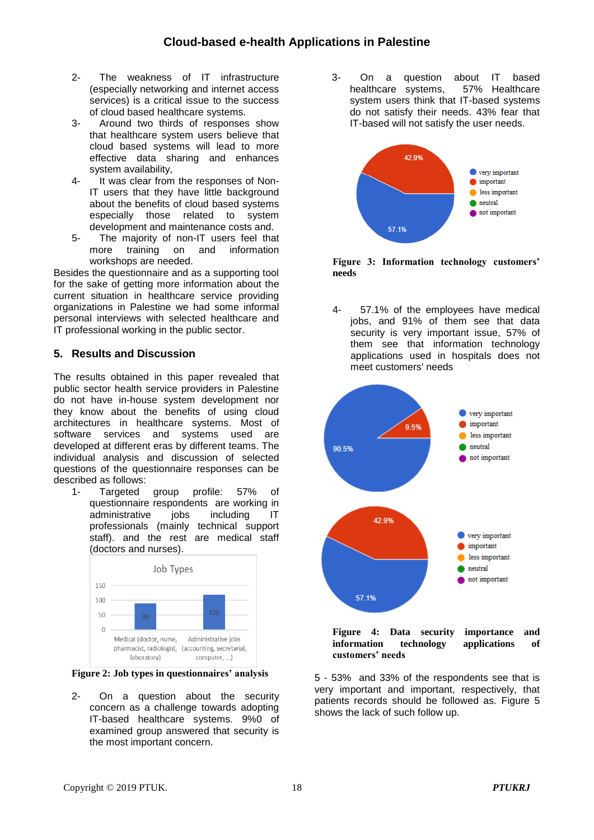## **Cloud-based e-health Applications in Palestine**

- 2- The weakness of IT infrastructure (especially networking and internet access services) is a critical issue to the success of cloud based healthcare systems.
- 3- Around two thirds of responses show that healthcare system users believe that cloud based systems will lead to more effective data sharing and enhances system availability,
- 4- It was clear from the responses of Non-IT users that they have little background about the benefits of cloud based systems especially those related to system development and maintenance costs and.
- 5- The majority of non-IT users feel that more training on and information workshops are needed.

Besides the questionnaire and as a supporting tool for the sake of getting more information about the current situation in healthcare service providing organizations in Palestine we had some informal personal interviews with selected healthcare and IT professional working in the public sector.

#### **5. Results and Discussion**

The results obtained in this paper revealed that public sector health service providers in Palestine do not have in-house system development nor they know about the benefits of using cloud architectures in healthcare systems. Most of software services and systems used are developed at different eras by different teams. The individual analysis and discussion of selected questions of the questionnaire responses can be described as follows:

1- Targeted group profile: 57% of questionnaire respondents are working in administrative jobs including IT professionals (mainly technical support staff). and the rest are medical staff (doctors and nurses).



**Figure 2: Job types in questionnaires' analysis**

2- On a question about the security concern as a challenge towards adopting IT-based healthcare systems. 9%0 of examined group answered that security is the most important concern.

3- On a question about IT based<br>healthcare systems, 57% Healthcare healthcare systems, system users think that IT-based systems do not satisfy their needs. 43% fear that IT-based will not satisfy the user needs.



**Figure 3: Information technology customers' needs**

4- 57.1% of the employees have medical jobs, and 91% of them see that data security is very important issue, 57% of them see that information technology applications used in hospitals does not meet customers' needs



**Figure 4: Data security importance and information technology applications of customers' needs**

5 - 53% and 33% of the respondents see that is very important and important, respectively, that patients records should be followed as. Figure 5 shows the lack of such follow up.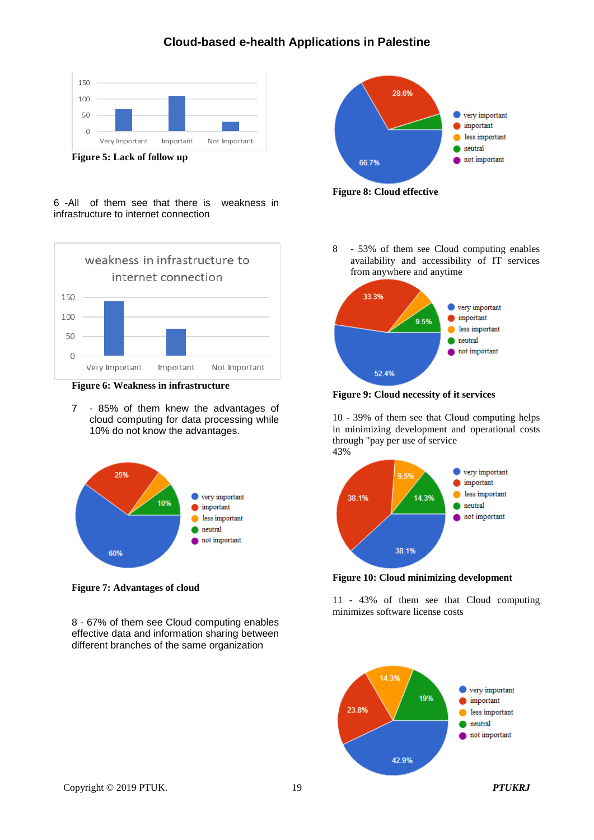## **Cloud-based e-health Applications in Palestine**



**Figure 5: Lack of follow up**





**Figure 6: Weakness in infrastructure**

7 - 85% of them knew the advantages of cloud computing for data processing while 10% do not know the advantages.



**Figure 7: Advantages of cloud**

8 - 67% of them see Cloud computing enables effective data and information sharing between different branches of the same organization



**Figure 8: Cloud effective** 

8 - 53% of them see Cloud computing enables availability and accessibility of IT services from anywhere and anytime



**Figure 9: Cloud necessity of it services**

10 - 39% of them see that Cloud computing helps in minimizing development and operational costs through "pay per use of service 43%



**Figure 10: Cloud minimizing development**

11 - 43% of them see that Cloud computing minimizes software license costs